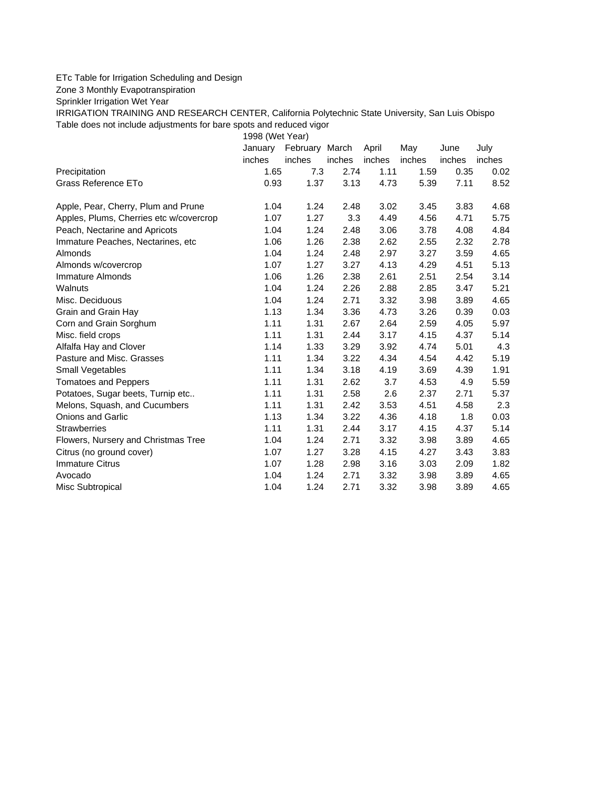## ETc Table for Irrigation Scheduling and Design

Zone 3 Monthly Evapotranspiration

Sprinkler Irrigation Wet Year

IRRIGATION TRAINING AND RESEARCH CENTER, California Polytechnic State University, San Luis Obispo Table does not include adjustments for bare spots and reduced vigor

1998 (Wet Year)

|                                         | January | February March |        | April  | May    | June   | July   |
|-----------------------------------------|---------|----------------|--------|--------|--------|--------|--------|
|                                         | inches  | inches         | inches | inches | inches | inches | inches |
| Precipitation                           | 1.65    | 7.3            | 2.74   | 1.11   | 1.59   | 0.35   | 0.02   |
| Grass Reference ETo                     | 0.93    | 1.37           | 3.13   | 4.73   | 5.39   | 7.11   | 8.52   |
| Apple, Pear, Cherry, Plum and Prune     | 1.04    | 1.24           | 2.48   | 3.02   | 3.45   | 3.83   | 4.68   |
| Apples, Plums, Cherries etc w/covercrop | 1.07    | 1.27           | 3.3    | 4.49   | 4.56   | 4.71   | 5.75   |
| Peach, Nectarine and Apricots           | 1.04    | 1.24           | 2.48   | 3.06   | 3.78   | 4.08   | 4.84   |
| Immature Peaches, Nectarines, etc       | 1.06    | 1.26           | 2.38   | 2.62   | 2.55   | 2.32   | 2.78   |
| Almonds                                 | 1.04    | 1.24           | 2.48   | 2.97   | 3.27   | 3.59   | 4.65   |
| Almonds w/covercrop                     | 1.07    | 1.27           | 3.27   | 4.13   | 4.29   | 4.51   | 5.13   |
| Immature Almonds                        | 1.06    | 1.26           | 2.38   | 2.61   | 2.51   | 2.54   | 3.14   |
| Walnuts                                 | 1.04    | 1.24           | 2.26   | 2.88   | 2.85   | 3.47   | 5.21   |
| Misc. Deciduous                         | 1.04    | 1.24           | 2.71   | 3.32   | 3.98   | 3.89   | 4.65   |
| Grain and Grain Hay                     | 1.13    | 1.34           | 3.36   | 4.73   | 3.26   | 0.39   | 0.03   |
| Corn and Grain Sorghum                  | 1.11    | 1.31           | 2.67   | 2.64   | 2.59   | 4.05   | 5.97   |
| Misc. field crops                       | 1.11    | 1.31           | 2.44   | 3.17   | 4.15   | 4.37   | 5.14   |
| Alfalfa Hay and Clover                  | 1.14    | 1.33           | 3.29   | 3.92   | 4.74   | 5.01   | 4.3    |
| Pasture and Misc. Grasses               | 1.11    | 1.34           | 3.22   | 4.34   | 4.54   | 4.42   | 5.19   |
| Small Vegetables                        | 1.11    | 1.34           | 3.18   | 4.19   | 3.69   | 4.39   | 1.91   |
| <b>Tomatoes and Peppers</b>             | 1.11    | 1.31           | 2.62   | 3.7    | 4.53   | 4.9    | 5.59   |
| Potatoes, Sugar beets, Turnip etc       | 1.11    | 1.31           | 2.58   | 2.6    | 2.37   | 2.71   | 5.37   |
| Melons, Squash, and Cucumbers           | 1.11    | 1.31           | 2.42   | 3.53   | 4.51   | 4.58   | 2.3    |
| Onions and Garlic                       | 1.13    | 1.34           | 3.22   | 4.36   | 4.18   | 1.8    | 0.03   |
| <b>Strawberries</b>                     | 1.11    | 1.31           | 2.44   | 3.17   | 4.15   | 4.37   | 5.14   |
| Flowers, Nursery and Christmas Tree     | 1.04    | 1.24           | 2.71   | 3.32   | 3.98   | 3.89   | 4.65   |
| Citrus (no ground cover)                | 1.07    | 1.27           | 3.28   | 4.15   | 4.27   | 3.43   | 3.83   |
| <b>Immature Citrus</b>                  | 1.07    | 1.28           | 2.98   | 3.16   | 3.03   | 2.09   | 1.82   |
| Avocado                                 | 1.04    | 1.24           | 2.71   | 3.32   | 3.98   | 3.89   | 4.65   |
| Misc Subtropical                        | 1.04    | 1.24           | 2.71   | 3.32   | 3.98   | 3.89   | 4.65   |